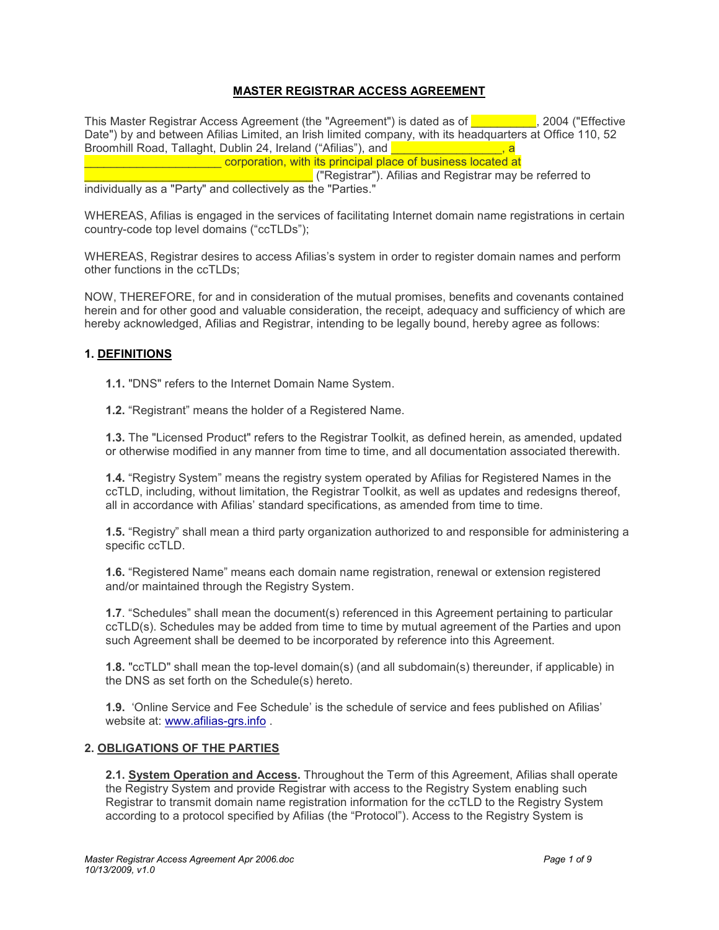# **MASTER REGISTRAR ACCESS AGREEMENT**

This Master Registrar Access Agreement (the "Agreement") is dated as of **The Constant Constant**, 2004 ("Effective Date") by and between Afilias Limited, an Irish limited company, with its headquarters at Office 110, 52 Broomhill Road, Tallaght, Dublin 24, Ireland ("Afilias"), and **Election 2018**, and **Example 20** corporation, with its principal place of business located at

\_\_\_\_\_\_\_\_\_\_\_\_\_\_\_\_\_\_\_\_\_\_\_\_\_\_\_\_\_\_\_\_\_\_\_ ("Registrar"). Afilias and Registrar may be referred to individually as a "Party" and collectively as the "Parties."

WHEREAS, Afilias is engaged in the services of facilitating Internet domain name registrations in certain country-code top level domains ("ccTLDs");

WHEREAS, Registrar desires to access Afilias's system in order to register domain names and perform other functions in the ccTLDs;

NOW, THEREFORE, for and in consideration of the mutual promises, benefits and covenants contained herein and for other good and valuable consideration, the receipt, adequacy and sufficiency of which are hereby acknowledged, Afilias and Registrar, intending to be legally bound, hereby agree as follows:

#### **1. DEFINITIONS**

**1.1.** "DNS" refers to the Internet Domain Name System.

**1.2.** "Registrant" means the holder of a Registered Name.

**1.3.** The "Licensed Product" refers to the Registrar Toolkit, as defined herein, as amended, updated or otherwise modified in any manner from time to time, and all documentation associated therewith.

**1.4.** "Registry System" means the registry system operated by Afilias for Registered Names in the ccTLD, including, without limitation, the Registrar Toolkit, as well as updates and redesigns thereof, all in accordance with Afilias' standard specifications, as amended from time to time.

**1.5.** "Registry" shall mean a third party organization authorized to and responsible for administering a specific ccTLD.

**1.6.** "Registered Name" means each domain name registration, renewal or extension registered and/or maintained through the Registry System.

**1.7**. "Schedules" shall mean the document(s) referenced in this Agreement pertaining to particular ccTLD(s). Schedules may be added from time to time by mutual agreement of the Parties and upon such Agreement shall be deemed to be incorporated by reference into this Agreement.

**1.8.** "ccTLD" shall mean the top-level domain(s) (and all subdomain(s) thereunder, if applicable) in the DNS as set forth on the Schedule(s) hereto.

**1.9.** 'Online Service and Fee Schedule' is the schedule of service and fees published on Afilias' website at: www.afilias-grs.info .

#### **2. OBLIGATIONS OF THE PARTIES**

**2.1. System Operation and Access.** Throughout the Term of this Agreement, Afilias shall operate the Registry System and provide Registrar with access to the Registry System enabling such Registrar to transmit domain name registration information for the ccTLD to the Registry System according to a protocol specified by Afilias (the "Protocol"). Access to the Registry System is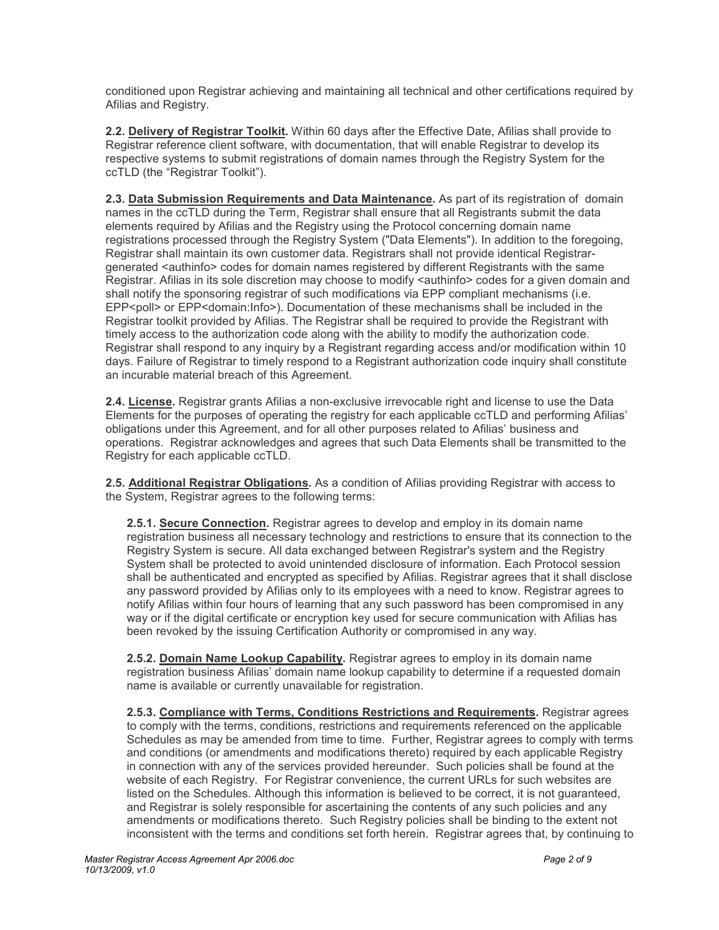conditioned upon Registrar achieving and maintaining all technical and other certifications required by Afilias and Registry.

**2.2. Delivery of Registrar Toolkit.** Within 60 days after the Effective Date, Afilias shall provide to Registrar reference client software, with documentation, that will enable Registrar to develop its respective systems to submit registrations of domain names through the Registry System for the ccTLD (the "Registrar Toolkit").

**2.3. Data Submission Requirements and Data Maintenance.** As part of its registration of domain names in the ccTLD during the Term, Registrar shall ensure that all Registrants submit the data elements required by Afilias and the Registry using the Protocol concerning domain name registrations processed through the Registry System ("Data Elements"). In addition to the foregoing, Registrar shall maintain its own customer data. Registrars shall not provide identical Registrargenerated <authinfo> codes for domain names registered by different Registrants with the same Registrar. Afilias in its sole discretion may choose to modify <authinfo> codes for a given domain and shall notify the sponsoring registrar of such modifications via EPP compliant mechanisms (i.e. EPP<poll> or EPP<domain:Info>). Documentation of these mechanisms shall be included in the Registrar toolkit provided by Afilias. The Registrar shall be required to provide the Registrant with timely access to the authorization code along with the ability to modify the authorization code. Registrar shall respond to any inquiry by a Registrant regarding access and/or modification within 10 days. Failure of Registrar to timely respond to a Registrant authorization code inquiry shall constitute an incurable material breach of this Agreement.

**2.4. License.** Registrar grants Afilias a non-exclusive irrevocable right and license to use the Data Elements for the purposes of operating the registry for each applicable ccTLD and performing Afilias' obligations under this Agreement, and for all other purposes related to Afilias' business and operations. Registrar acknowledges and agrees that such Data Elements shall be transmitted to the Registry for each applicable ccTLD.

**2.5. Additional Registrar Obligations.** As a condition of Afilias providing Registrar with access to the System, Registrar agrees to the following terms:

**2.5.1. Secure Connection.** Registrar agrees to develop and employ in its domain name registration business all necessary technology and restrictions to ensure that its connection to the Registry System is secure. All data exchanged between Registrar's system and the Registry System shall be protected to avoid unintended disclosure of information. Each Protocol session shall be authenticated and encrypted as specified by Afilias. Registrar agrees that it shall disclose any password provided by Afilias only to its employees with a need to know. Registrar agrees to notify Afilias within four hours of learning that any such password has been compromised in any way or if the digital certificate or encryption key used for secure communication with Afilias has been revoked by the issuing Certification Authority or compromised in any way.

**2.5.2. Domain Name Lookup Capability.** Registrar agrees to employ in its domain name registration business Afilias' domain name lookup capability to determine if a requested domain name is available or currently unavailable for registration.

**2.5.3. Compliance with Terms, Conditions Restrictions and Requirements.** Registrar agrees to comply with the terms, conditions, restrictions and requirements referenced on the applicable Schedules as may be amended from time to time. Further, Registrar agrees to comply with terms and conditions (or amendments and modifications thereto) required by each applicable Registry in connection with any of the services provided hereunder. Such policies shall be found at the website of each Registry. For Registrar convenience, the current URLs for such websites are listed on the Schedules. Although this information is believed to be correct, it is not guaranteed, and Registrar is solely responsible for ascertaining the contents of any such policies and any amendments or modifications thereto. Such Registry policies shall be binding to the extent not inconsistent with the terms and conditions set forth herein. Registrar agrees that, by continuing to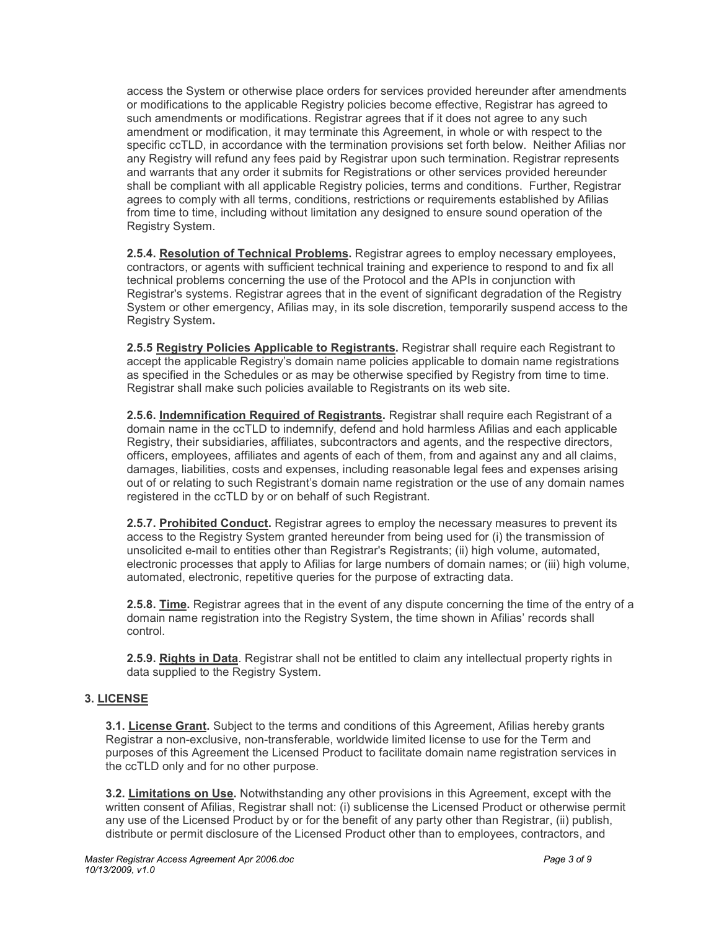access the System or otherwise place orders for services provided hereunder after amendments or modifications to the applicable Registry policies become effective, Registrar has agreed to such amendments or modifications. Registrar agrees that if it does not agree to any such amendment or modification, it may terminate this Agreement, in whole or with respect to the specific ccTLD, in accordance with the termination provisions set forth below. Neither Afilias nor any Registry will refund any fees paid by Registrar upon such termination. Registrar represents and warrants that any order it submits for Registrations or other services provided hereunder shall be compliant with all applicable Registry policies, terms and conditions. Further, Registrar agrees to comply with all terms, conditions, restrictions or requirements established by Afilias from time to time, including without limitation any designed to ensure sound operation of the Registry System.

**2.5.4. Resolution of Technical Problems.** Registrar agrees to employ necessary employees, contractors, or agents with sufficient technical training and experience to respond to and fix all technical problems concerning the use of the Protocol and the APIs in conjunction with Registrar's systems. Registrar agrees that in the event of significant degradation of the Registry System or other emergency, Afilias may, in its sole discretion, temporarily suspend access to the Registry System**.**

**2.5.5 Registry Policies Applicable to Registrants.** Registrar shall require each Registrant to accept the applicable Registry's domain name policies applicable to domain name registrations as specified in the Schedules or as may be otherwise specified by Registry from time to time. Registrar shall make such policies available to Registrants on its web site.

**2.5.6. Indemnification Required of Registrants.** Registrar shall require each Registrant of a domain name in the ccTLD to indemnify, defend and hold harmless Afilias and each applicable Registry, their subsidiaries, affiliates, subcontractors and agents, and the respective directors, officers, employees, affiliates and agents of each of them, from and against any and all claims, damages, liabilities, costs and expenses, including reasonable legal fees and expenses arising out of or relating to such Registrant's domain name registration or the use of any domain names registered in the ccTLD by or on behalf of such Registrant.

**2.5.7. Prohibited Conduct.** Registrar agrees to employ the necessary measures to prevent its access to the Registry System granted hereunder from being used for (i) the transmission of unsolicited e-mail to entities other than Registrar's Registrants; (ii) high volume, automated, electronic processes that apply to Afilias for large numbers of domain names; or (iii) high volume, automated, electronic, repetitive queries for the purpose of extracting data.

**2.5.8. Time.** Registrar agrees that in the event of any dispute concerning the time of the entry of a domain name registration into the Registry System, the time shown in Afilias' records shall control.

**2.5.9. Rights in Data**. Registrar shall not be entitled to claim any intellectual property rights in data supplied to the Registry System.

### **3. LICENSE**

**3.1. License Grant.** Subject to the terms and conditions of this Agreement, Afilias hereby grants Registrar a non-exclusive, non-transferable, worldwide limited license to use for the Term and purposes of this Agreement the Licensed Product to facilitate domain name registration services in the ccTLD only and for no other purpose.

**3.2. Limitations on Use.** Notwithstanding any other provisions in this Agreement, except with the written consent of Afilias, Registrar shall not: (i) sublicense the Licensed Product or otherwise permit any use of the Licensed Product by or for the benefit of any party other than Registrar, (ii) publish, distribute or permit disclosure of the Licensed Product other than to employees, contractors, and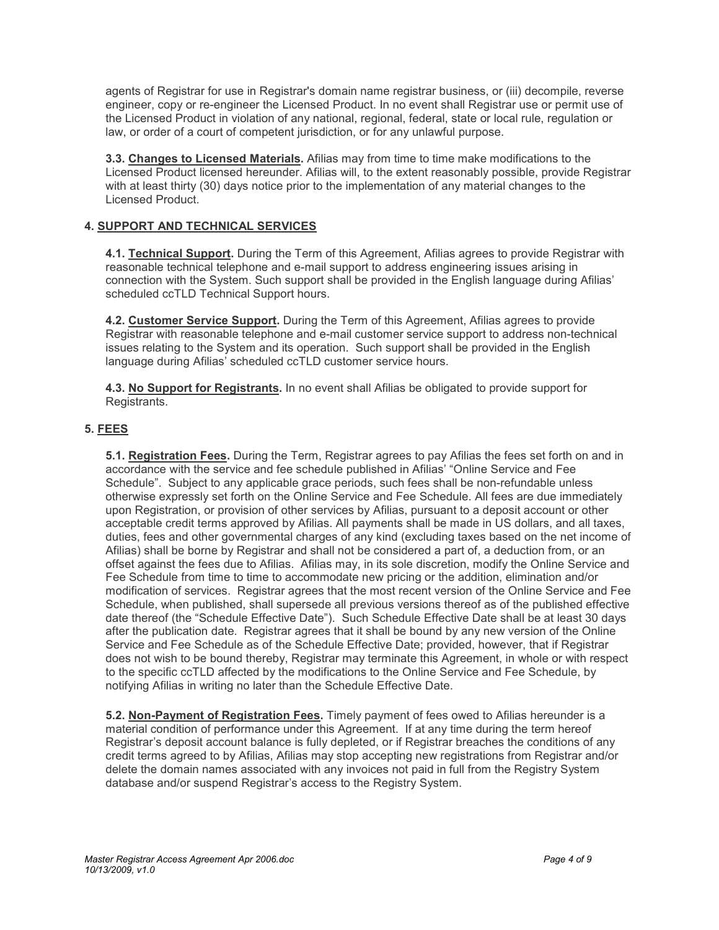agents of Registrar for use in Registrar's domain name registrar business, or (iii) decompile, reverse engineer, copy or re-engineer the Licensed Product. In no event shall Registrar use or permit use of the Licensed Product in violation of any national, regional, federal, state or local rule, regulation or law, or order of a court of competent jurisdiction, or for any unlawful purpose.

**3.3. Changes to Licensed Materials.** Afilias may from time to time make modifications to the Licensed Product licensed hereunder. Afilias will, to the extent reasonably possible, provide Registrar with at least thirty (30) days notice prior to the implementation of any material changes to the Licensed Product.

# **4. SUPPORT AND TECHNICAL SERVICES**

**4.1. Technical Support.** During the Term of this Agreement, Afilias agrees to provide Registrar with reasonable technical telephone and e-mail support to address engineering issues arising in connection with the System. Such support shall be provided in the English language during Afilias' scheduled ccTLD Technical Support hours.

**4.2. Customer Service Support.** During the Term of this Agreement, Afilias agrees to provide Registrar with reasonable telephone and e-mail customer service support to address non-technical issues relating to the System and its operation. Such support shall be provided in the English language during Afilias' scheduled ccTLD customer service hours.

**4.3. No Support for Registrants.** In no event shall Afilias be obligated to provide support for Registrants.

# **5. FEES**

**5.1. Registration Fees.** During the Term, Registrar agrees to pay Afilias the fees set forth on and in accordance with the service and fee schedule published in Afilias' "Online Service and Fee Schedule". Subject to any applicable grace periods, such fees shall be non-refundable unless otherwise expressly set forth on the Online Service and Fee Schedule. All fees are due immediately upon Registration, or provision of other services by Afilias, pursuant to a deposit account or other acceptable credit terms approved by Afilias. All payments shall be made in US dollars, and all taxes, duties, fees and other governmental charges of any kind (excluding taxes based on the net income of Afilias) shall be borne by Registrar and shall not be considered a part of, a deduction from, or an offset against the fees due to Afilias. Afilias may, in its sole discretion, modify the Online Service and Fee Schedule from time to time to accommodate new pricing or the addition, elimination and/or modification of services. Registrar agrees that the most recent version of the Online Service and Fee Schedule, when published, shall supersede all previous versions thereof as of the published effective date thereof (the "Schedule Effective Date"). Such Schedule Effective Date shall be at least 30 days after the publication date. Registrar agrees that it shall be bound by any new version of the Online Service and Fee Schedule as of the Schedule Effective Date; provided, however, that if Registrar does not wish to be bound thereby, Registrar may terminate this Agreement, in whole or with respect to the specific ccTLD affected by the modifications to the Online Service and Fee Schedule, by notifying Afilias in writing no later than the Schedule Effective Date.

**5.2. Non-Payment of Registration Fees.** Timely payment of fees owed to Afilias hereunder is a material condition of performance under this Agreement. If at any time during the term hereof Registrar's deposit account balance is fully depleted, or if Registrar breaches the conditions of any credit terms agreed to by Afilias, Afilias may stop accepting new registrations from Registrar and/or delete the domain names associated with any invoices not paid in full from the Registry System database and/or suspend Registrar's access to the Registry System.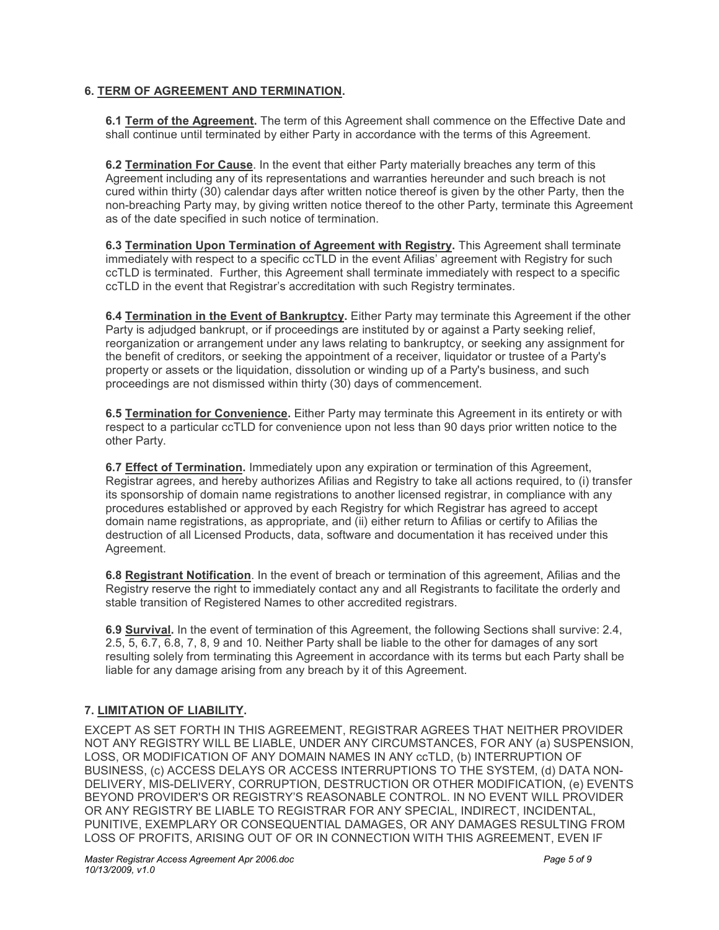### **6. TERM OF AGREEMENT AND TERMINATION.**

**6.1 Term of the Agreement.** The term of this Agreement shall commence on the Effective Date and shall continue until terminated by either Party in accordance with the terms of this Agreement.

**6.2 Termination For Cause**. In the event that either Party materially breaches any term of this Agreement including any of its representations and warranties hereunder and such breach is not cured within thirty (30) calendar days after written notice thereof is given by the other Party, then the non-breaching Party may, by giving written notice thereof to the other Party, terminate this Agreement as of the date specified in such notice of termination.

**6.3 Termination Upon Termination of Agreement with Registry.** This Agreement shall terminate immediately with respect to a specific ccTLD in the event Afilias' agreement with Registry for such ccTLD is terminated. Further, this Agreement shall terminate immediately with respect to a specific ccTLD in the event that Registrar's accreditation with such Registry terminates.

**6.4 Termination in the Event of Bankruptcy.** Either Party may terminate this Agreement if the other Party is adjudged bankrupt, or if proceedings are instituted by or against a Party seeking relief, reorganization or arrangement under any laws relating to bankruptcy, or seeking any assignment for the benefit of creditors, or seeking the appointment of a receiver, liquidator or trustee of a Party's property or assets or the liquidation, dissolution or winding up of a Party's business, and such proceedings are not dismissed within thirty (30) days of commencement.

**6.5 Termination for Convenience.** Either Party may terminate this Agreement in its entirety or with respect to a particular ccTLD for convenience upon not less than 90 days prior written notice to the other Party.

**6.7 Effect of Termination.** Immediately upon any expiration or termination of this Agreement, Registrar agrees, and hereby authorizes Afilias and Registry to take all actions required, to (i) transfer its sponsorship of domain name registrations to another licensed registrar, in compliance with any procedures established or approved by each Registry for which Registrar has agreed to accept domain name registrations, as appropriate, and (ii) either return to Afilias or certify to Afilias the destruction of all Licensed Products, data, software and documentation it has received under this Agreement.

**6.8 Registrant Notification**. In the event of breach or termination of this agreement, Afilias and the Registry reserve the right to immediately contact any and all Registrants to facilitate the orderly and stable transition of Registered Names to other accredited registrars.

**6.9 Survival.** In the event of termination of this Agreement, the following Sections shall survive: 2.4, 2.5, 5, 6.7, 6.8, 7, 8, 9 and 10. Neither Party shall be liable to the other for damages of any sort resulting solely from terminating this Agreement in accordance with its terms but each Party shall be liable for any damage arising from any breach by it of this Agreement.

# **7. LIMITATION OF LIABILITY.**

EXCEPT AS SET FORTH IN THIS AGREEMENT, REGISTRAR AGREES THAT NEITHER PROVIDER NOT ANY REGISTRY WILL BE LIABLE, UNDER ANY CIRCUMSTANCES, FOR ANY (a) SUSPENSION, LOSS, OR MODIFICATION OF ANY DOMAIN NAMES IN ANY ccTLD, (b) INTERRUPTION OF BUSINESS, (c) ACCESS DELAYS OR ACCESS INTERRUPTIONS TO THE SYSTEM, (d) DATA NON-DELIVERY, MIS-DELIVERY, CORRUPTION, DESTRUCTION OR OTHER MODIFICATION, (e) EVENTS BEYOND PROVIDER'S OR REGISTRY'S REASONABLE CONTROL. IN NO EVENT WILL PROVIDER OR ANY REGISTRY BE LIABLE TO REGISTRAR FOR ANY SPECIAL, INDIRECT, INCIDENTAL, PUNITIVE, EXEMPLARY OR CONSEQUENTIAL DAMAGES, OR ANY DAMAGES RESULTING FROM LOSS OF PROFITS, ARISING OUT OF OR IN CONNECTION WITH THIS AGREEMENT, EVEN IF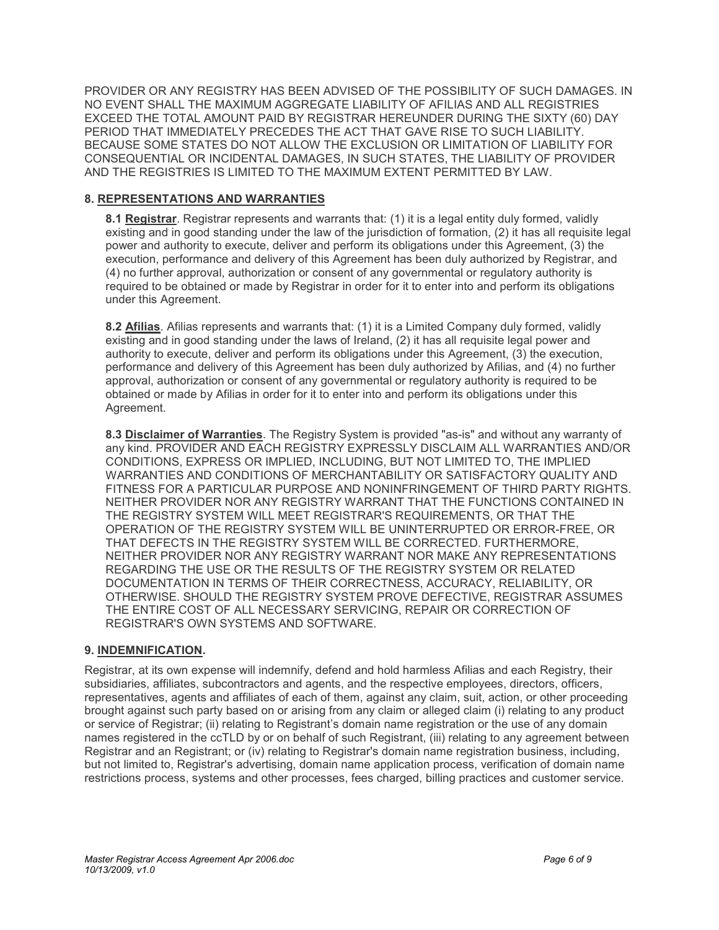PROVIDER OR ANY REGISTRY HAS BEEN ADVISED OF THE POSSIBILITY OF SUCH DAMAGES. IN NO EVENT SHALL THE MAXIMUM AGGREGATE LIABILITY OF AFILIAS AND ALL REGISTRIES EXCEED THE TOTAL AMOUNT PAID BY REGISTRAR HEREUNDER DURING THE SIXTY (60) DAY PERIOD THAT IMMEDIATELY PRECEDES THE ACT THAT GAVE RISE TO SUCH LIABILITY. BECAUSE SOME STATES DO NOT ALLOW THE EXCLUSION OR LIMITATION OF LIABILITY FOR CONSEQUENTIAL OR INCIDENTAL DAMAGES, IN SUCH STATES, THE LIABILITY OF PROVIDER AND THE REGISTRIES IS LIMITED TO THE MAXIMUM EXTENT PERMITTED BY LAW.

### **8. REPRESENTATIONS AND WARRANTIES**

**8.1 Registrar**. Registrar represents and warrants that: (1) it is a legal entity duly formed, validly existing and in good standing under the law of the jurisdiction of formation, (2) it has all requisite legal power and authority to execute, deliver and perform its obligations under this Agreement, (3) the execution, performance and delivery of this Agreement has been duly authorized by Registrar, and (4) no further approval, authorization or consent of any governmental or regulatory authority is required to be obtained or made by Registrar in order for it to enter into and perform its obligations under this Agreement.

**8.2 Afilias**. Afilias represents and warrants that: (1) it is a Limited Company duly formed, validly existing and in good standing under the laws of Ireland, (2) it has all requisite legal power and authority to execute, deliver and perform its obligations under this Agreement, (3) the execution, performance and delivery of this Agreement has been duly authorized by Afilias, and (4) no further approval, authorization or consent of any governmental or regulatory authority is required to be obtained or made by Afilias in order for it to enter into and perform its obligations under this Agreement.

**8.3 Disclaimer of Warranties**. The Registry System is provided "as-is" and without any warranty of any kind. PROVIDER AND EACH REGISTRY EXPRESSLY DISCLAIM ALL WARRANTIES AND/OR CONDITIONS, EXPRESS OR IMPLIED, INCLUDING, BUT NOT LIMITED TO, THE IMPLIED WARRANTIES AND CONDITIONS OF MERCHANTABILITY OR SATISFACTORY QUALITY AND FITNESS FOR A PARTICULAR PURPOSE AND NONINFRINGEMENT OF THIRD PARTY RIGHTS. NEITHER PROVIDER NOR ANY REGISTRY WARRANT THAT THE FUNCTIONS CONTAINED IN THE REGISTRY SYSTEM WILL MEET REGISTRAR'S REQUIREMENTS, OR THAT THE OPERATION OF THE REGISTRY SYSTEM WILL BE UNINTERRUPTED OR ERROR-FREE, OR THAT DEFECTS IN THE REGISTRY SYSTEM WILL BE CORRECTED. FURTHERMORE, NEITHER PROVIDER NOR ANY REGISTRY WARRANT NOR MAKE ANY REPRESENTATIONS REGARDING THE USE OR THE RESULTS OF THE REGISTRY SYSTEM OR RELATED DOCUMENTATION IN TERMS OF THEIR CORRECTNESS, ACCURACY, RELIABILITY, OR OTHERWISE. SHOULD THE REGISTRY SYSTEM PROVE DEFECTIVE, REGISTRAR ASSUMES THE ENTIRE COST OF ALL NECESSARY SERVICING, REPAIR OR CORRECTION OF REGISTRAR'S OWN SYSTEMS AND SOFTWARE.

### **9. INDEMNIFICATION.**

Registrar, at its own expense will indemnify, defend and hold harmless Afilias and each Registry, their subsidiaries, affiliates, subcontractors and agents, and the respective employees, directors, officers, representatives, agents and affiliates of each of them, against any claim, suit, action, or other proceeding brought against such party based on or arising from any claim or alleged claim (i) relating to any product or service of Registrar; (ii) relating to Registrant's domain name registration or the use of any domain names registered in the ccTLD by or on behalf of such Registrant, (iii) relating to any agreement between Registrar and an Registrant; or (iv) relating to Registrar's domain name registration business, including, but not limited to, Registrar's advertising, domain name application process, verification of domain name restrictions process, systems and other processes, fees charged, billing practices and customer service.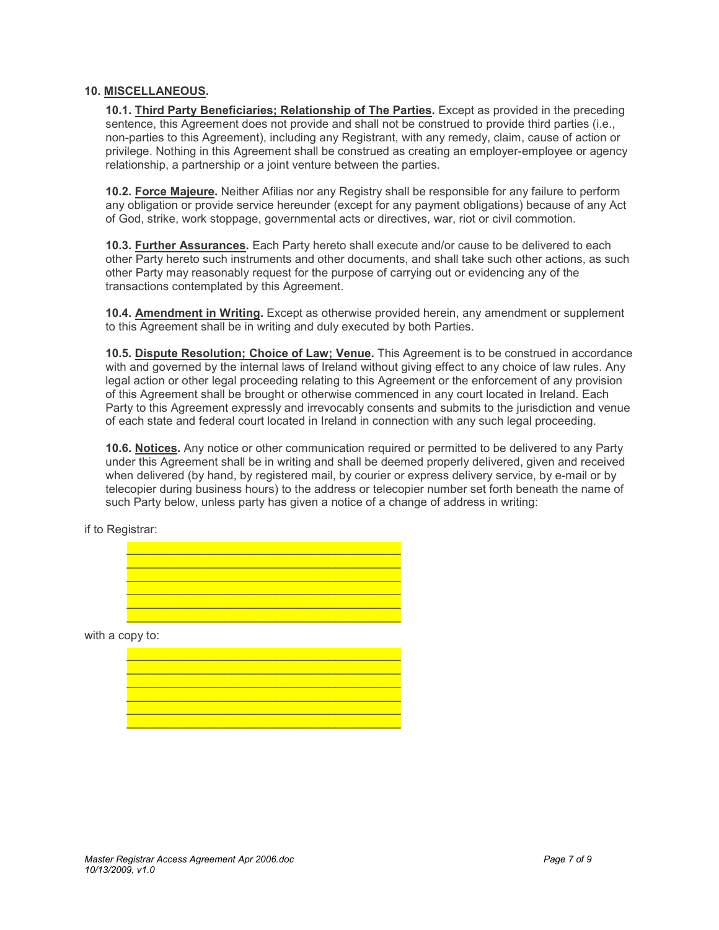#### **10. MISCELLANEOUS.**

**10.1. Third Party Beneficiaries; Relationship of The Parties.** Except as provided in the preceding sentence, this Agreement does not provide and shall not be construed to provide third parties (i.e., non-parties to this Agreement), including any Registrant, with any remedy, claim, cause of action or privilege. Nothing in this Agreement shall be construed as creating an employer-employee or agency relationship, a partnership or a joint venture between the parties.

**10.2. Force Majeure.** Neither Afilias nor any Registry shall be responsible for any failure to perform any obligation or provide service hereunder (except for any payment obligations) because of any Act of God, strike, work stoppage, governmental acts or directives, war, riot or civil commotion.

**10.3. Further Assurances.** Each Party hereto shall execute and/or cause to be delivered to each other Party hereto such instruments and other documents, and shall take such other actions, as such other Party may reasonably request for the purpose of carrying out or evidencing any of the transactions contemplated by this Agreement.

**10.4. Amendment in Writing.** Except as otherwise provided herein, any amendment or supplement to this Agreement shall be in writing and duly executed by both Parties.

**10.5. Dispute Resolution; Choice of Law; Venue.** This Agreement is to be construed in accordance with and governed by the internal laws of Ireland without giving effect to any choice of law rules. Any legal action or other legal proceeding relating to this Agreement or the enforcement of any provision of this Agreement shall be brought or otherwise commenced in any court located in Ireland. Each Party to this Agreement expressly and irrevocably consents and submits to the jurisdiction and venue of each state and federal court located in Ireland in connection with any such legal proceeding.

**10.6. Notices.** Any notice or other communication required or permitted to be delivered to any Party under this Agreement shall be in writing and shall be deemed properly delivered, given and received when delivered (by hand, by registered mail, by courier or express delivery service, by e-mail or by telecopier during business hours) to the address or telecopier number set forth beneath the name of such Party below, unless party has given a notice of a change of address in writing:

if to Registrar:

 $\frac{1}{2}$  ,  $\frac{1}{2}$  ,  $\frac{1}{2}$  ,  $\frac{1}{2}$  ,  $\frac{1}{2}$  ,  $\frac{1}{2}$  ,  $\frac{1}{2}$  ,  $\frac{1}{2}$  ,  $\frac{1}{2}$  ,  $\frac{1}{2}$  ,  $\frac{1}{2}$  ,  $\frac{1}{2}$  ,  $\frac{1}{2}$  ,  $\frac{1}{2}$  ,  $\frac{1}{2}$  ,  $\frac{1}{2}$  ,  $\frac{1}{2}$  ,  $\frac{1}{2}$  ,  $\frac{1$  $\mathcal{L}_\mathcal{L} = \{ \mathcal{L}_\mathcal{L} \}$  , where  $\mathcal{L}_\mathcal{L} = \{ \mathcal{L}_\mathcal{L} \}$  , where  $\mathcal{L}_\mathcal{L} = \{ \mathcal{L}_\mathcal{L} \}$  , where  $\mathcal{L}_\mathcal{L} = \{ \mathcal{L}_\mathcal{L} \}$  $\frac{1}{2}$  ,  $\frac{1}{2}$  ,  $\frac{1}{2}$  ,  $\frac{1}{2}$  ,  $\frac{1}{2}$  ,  $\frac{1}{2}$  ,  $\frac{1}{2}$  ,  $\frac{1}{2}$  ,  $\frac{1}{2}$  ,  $\frac{1}{2}$  ,  $\frac{1}{2}$  ,  $\frac{1}{2}$  ,  $\frac{1}{2}$  ,  $\frac{1}{2}$  ,  $\frac{1}{2}$  ,  $\frac{1}{2}$  ,  $\frac{1}{2}$  ,  $\frac{1}{2}$  ,  $\frac{1$  $\frac{1}{2}$  ,  $\frac{1}{2}$  ,  $\frac{1}{2}$  ,  $\frac{1}{2}$  ,  $\frac{1}{2}$  ,  $\frac{1}{2}$  ,  $\frac{1}{2}$  ,  $\frac{1}{2}$  ,  $\frac{1}{2}$  ,  $\frac{1}{2}$  ,  $\frac{1}{2}$  ,  $\frac{1}{2}$  ,  $\frac{1}{2}$  ,  $\frac{1}{2}$  ,  $\frac{1}{2}$  ,  $\frac{1}{2}$  ,  $\frac{1}{2}$  ,  $\frac{1}{2}$  ,  $\frac{1$  $\mathcal{L}_\mathcal{L} = \{ \mathcal{L}_\mathcal{L} \}$  , where  $\mathcal{L}_\mathcal{L} = \{ \mathcal{L}_\mathcal{L} \}$  , where  $\mathcal{L}_\mathcal{L} = \{ \mathcal{L}_\mathcal{L} \}$  , where  $\mathcal{L}_\mathcal{L} = \{ \mathcal{L}_\mathcal{L} \}$  $\mathcal{L}_\mathcal{L} = \{ \mathcal{L}_\mathcal{L} \}$  , where  $\mathcal{L}_\mathcal{L} = \{ \mathcal{L}_\mathcal{L} \}$  , where  $\mathcal{L}_\mathcal{L} = \{ \mathcal{L}_\mathcal{L} \}$  , where  $\mathcal{L}_\mathcal{L} = \{ \mathcal{L}_\mathcal{L} \}$ 

with a copy to:

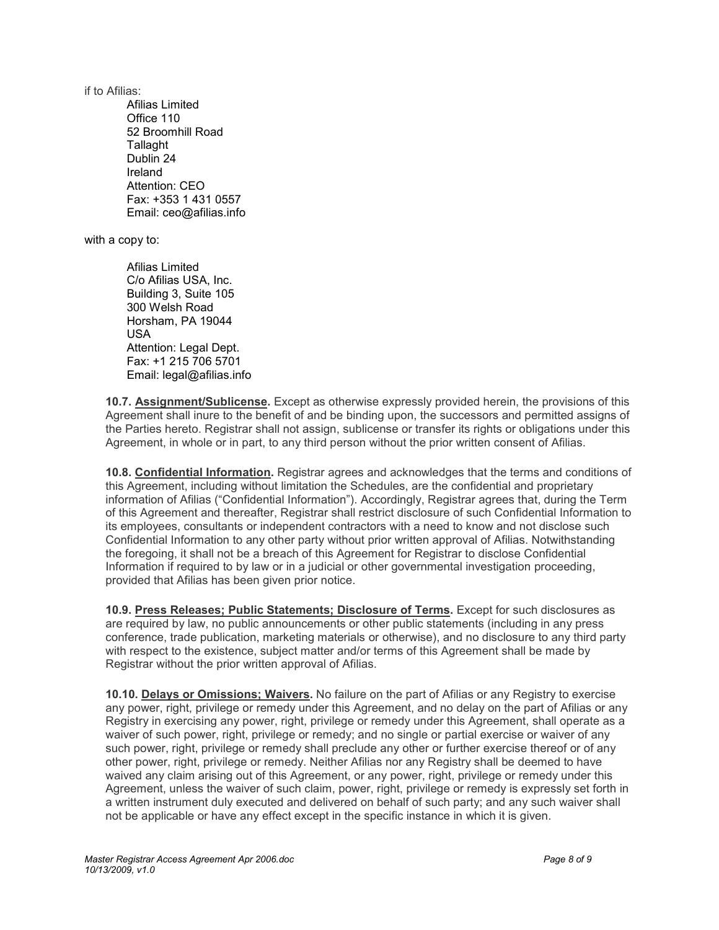if to Afilias:

Afilias Limited Office 110 52 Broomhill Road Tallaght Dublin 24 Ireland Attention: CEO Fax: +353 1 431 0557 Email: ceo@afilias.info

with a copy to:

Afilias Limited C/o Afilias USA, Inc. Building 3, Suite 105 300 Welsh Road Horsham, PA 19044 USA Attention: Legal Dept. Fax: +1 215 706 5701 Email: legal@afilias.info

**10.7. Assignment/Sublicense.** Except as otherwise expressly provided herein, the provisions of this Agreement shall inure to the benefit of and be binding upon, the successors and permitted assigns of the Parties hereto. Registrar shall not assign, sublicense or transfer its rights or obligations under this Agreement, in whole or in part, to any third person without the prior written consent of Afilias.

**10.8. Confidential Information.** Registrar agrees and acknowledges that the terms and conditions of this Agreement, including without limitation the Schedules, are the confidential and proprietary information of Afilias ("Confidential Information"). Accordingly, Registrar agrees that, during the Term of this Agreement and thereafter, Registrar shall restrict disclosure of such Confidential Information to its employees, consultants or independent contractors with a need to know and not disclose such Confidential Information to any other party without prior written approval of Afilias. Notwithstanding the foregoing, it shall not be a breach of this Agreement for Registrar to disclose Confidential Information if required to by law or in a judicial or other governmental investigation proceeding, provided that Afilias has been given prior notice.

**10.9. Press Releases; Public Statements; Disclosure of Terms.** Except for such disclosures as are required by law, no public announcements or other public statements (including in any press conference, trade publication, marketing materials or otherwise), and no disclosure to any third party with respect to the existence, subject matter and/or terms of this Agreement shall be made by Registrar without the prior written approval of Afilias.

**10.10. Delays or Omissions; Waivers.** No failure on the part of Afilias or any Registry to exercise any power, right, privilege or remedy under this Agreement, and no delay on the part of Afilias or any Registry in exercising any power, right, privilege or remedy under this Agreement, shall operate as a waiver of such power, right, privilege or remedy; and no single or partial exercise or waiver of any such power, right, privilege or remedy shall preclude any other or further exercise thereof or of any other power, right, privilege or remedy. Neither Afilias nor any Registry shall be deemed to have waived any claim arising out of this Agreement, or any power, right, privilege or remedy under this Agreement, unless the waiver of such claim, power, right, privilege or remedy is expressly set forth in a written instrument duly executed and delivered on behalf of such party; and any such waiver shall not be applicable or have any effect except in the specific instance in which it is given.